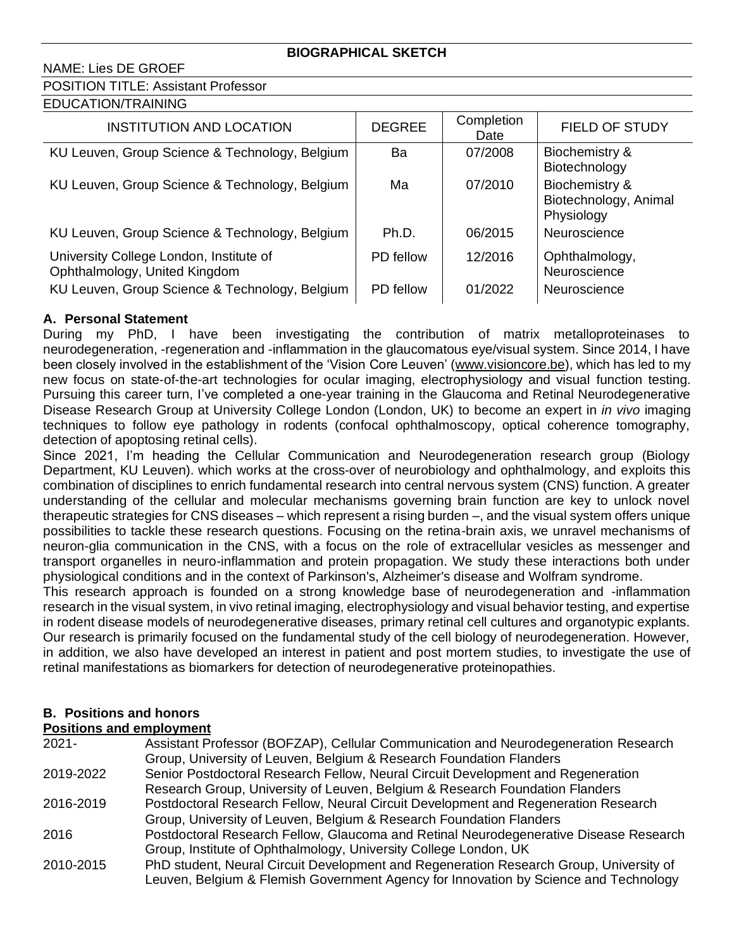## NAME: Lies DE GROEF

# POSITION TITLE: Assistant Professor

|--|

| <b>INSTITUTION AND LOCATION</b>                                          | <b>DEGREE</b> | Completion<br>Date | FIELD OF STUDY                                        |
|--------------------------------------------------------------------------|---------------|--------------------|-------------------------------------------------------|
| KU Leuven, Group Science & Technology, Belgium                           | Ba            | 07/2008            | Biochemistry &<br>Biotechnology                       |
| KU Leuven, Group Science & Technology, Belgium                           | Ma            | 07/2010            | Biochemistry &<br>Biotechnology, Animal<br>Physiology |
| KU Leuven, Group Science & Technology, Belgium                           | Ph.D.         | 06/2015            | Neuroscience                                          |
| University College London, Institute of<br>Ophthalmology, United Kingdom | PD fellow     | 12/2016            | Ophthalmology,<br>Neuroscience                        |
| KU Leuven, Group Science & Technology, Belgium                           | PD fellow     | 01/2022            | Neuroscience                                          |

## **A. Personal Statement**

During my PhD, I have been investigating the contribution of matrix metalloproteinases to neurodegeneration, -regeneration and -inflammation in the glaucomatous eye/visual system. Since 2014, I have been closely involved in the establishment of the 'Vision Core Leuven' (www.visioncore.be), which has led to my new focus on state-of-the-art technologies for ocular imaging, electrophysiology and visual function testing. Pursuing this career turn, I've completed a one-year training in the Glaucoma and Retinal Neurodegenerative Disease Research Group at University College London (London, UK) to become an expert in *in vivo* imaging techniques to follow eye pathology in rodents (confocal ophthalmoscopy, optical coherence tomography, detection of apoptosing retinal cells).

Since 2021, I'm heading the Cellular Communication and Neurodegeneration research group (Biology Department, KU Leuven). which works at the cross-over of neurobiology and ophthalmology, and exploits this combination of disciplines to enrich fundamental research into central nervous system (CNS) function. A greater understanding of the cellular and molecular mechanisms governing brain function are key to unlock novel therapeutic strategies for CNS diseases – which represent a rising burden –, and the visual system offers unique possibilities to tackle these research questions. Focusing on the retina-brain axis, we unravel mechanisms of neuron-glia communication in the CNS, with a focus on the role of extracellular vesicles as messenger and transport organelles in neuro-inflammation and protein propagation. We study these interactions both under physiological conditions and in the context of Parkinson's, Alzheimer's disease and Wolfram syndrome.

This research approach is founded on a strong knowledge base of neurodegeneration and -inflammation research in the visual system, in vivo retinal imaging, electrophysiology and visual behavior testing, and expertise in rodent disease models of neurodegenerative diseases, primary retinal cell cultures and organotypic explants. Our research is primarily focused on the fundamental study of the cell biology of neurodegeneration. However, in addition, we also have developed an interest in patient and post mortem studies, to investigate the use of retinal manifestations as biomarkers for detection of neurodegenerative proteinopathies.

# **B. Positions and honors**

#### **Positions and employment**

| $2021 -$  | Assistant Professor (BOFZAP), Cellular Communication and Neurodegeneration Research    |
|-----------|----------------------------------------------------------------------------------------|
|           | Group, University of Leuven, Belgium & Research Foundation Flanders                    |
| 2019-2022 | Senior Postdoctoral Research Fellow, Neural Circuit Development and Regeneration       |
|           | Research Group, University of Leuven, Belgium & Research Foundation Flanders           |
| 2016-2019 | Postdoctoral Research Fellow, Neural Circuit Development and Regeneration Research     |
|           | Group, University of Leuven, Belgium & Research Foundation Flanders                    |
| 2016      | Postdoctoral Research Fellow, Glaucoma and Retinal Neurodegenerative Disease Research  |
|           | Group, Institute of Ophthalmology, University College London, UK                       |
| 2010-2015 | PhD student, Neural Circuit Development and Regeneration Research Group, University of |
|           | Leuven, Belgium & Flemish Government Agency for Innovation by Science and Technology   |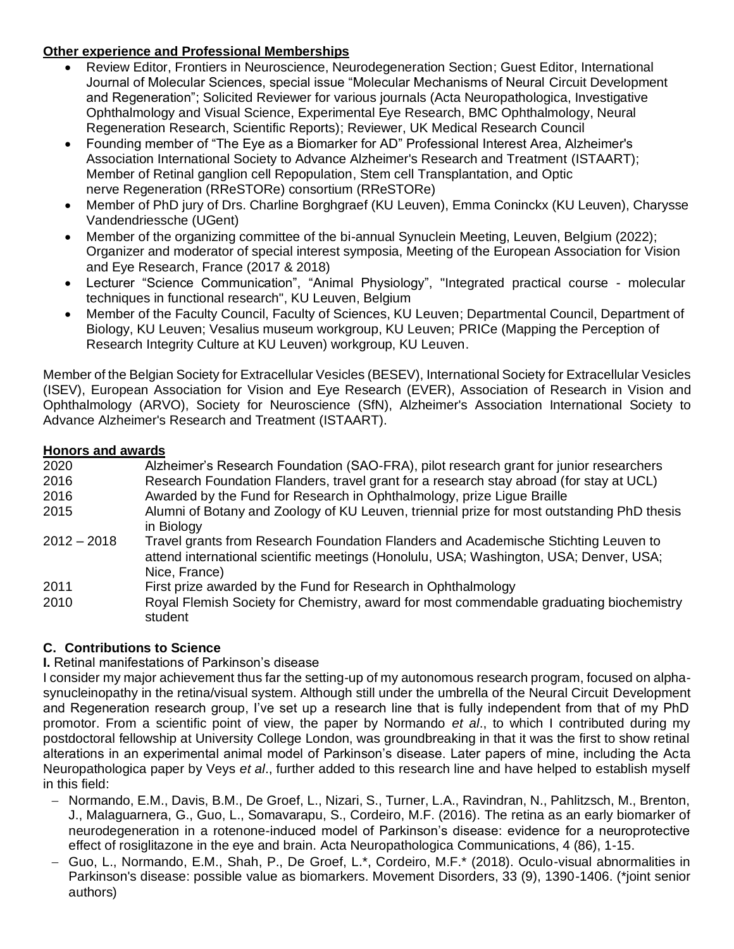## **Other experience and Professional Memberships**

- Review Editor, Frontiers in Neuroscience, Neurodegeneration Section; Guest Editor, International Journal of Molecular Sciences, special issue "Molecular Mechanisms of Neural Circuit Development and Regeneration"; Solicited Reviewer for various journals (Acta Neuropathologica, Investigative Ophthalmology and Visual Science, Experimental Eye Research, BMC Ophthalmology, Neural Regeneration Research, Scientific Reports); Reviewer, UK Medical Research Council
- Founding member of "The Eye as a Biomarker for AD" Professional Interest Area, Alzheimer's Association International Society to Advance Alzheimer's Research and Treatment (ISTAART); Member of Retinal ganglion cell Repopulation, Stem cell Transplantation, and Optic nerve Regeneration (RReSTORe) consortium (RReSTORe)
- Member of PhD jury of Drs. Charline Borghgraef (KU Leuven), Emma Coninckx (KU Leuven), Charysse Vandendriessche (UGent)
- Member of the organizing committee of the bi-annual Synuclein Meeting, Leuven, Belgium (2022); Organizer and moderator of special interest symposia, Meeting of the European Association for Vision and Eye Research, France (2017 & 2018)
- Lecturer "Science Communication", "Animal Physiology", "Integrated practical course molecular techniques in functional research", KU Leuven, Belgium
- Member of the Faculty Council, Faculty of Sciences, KU Leuven; Departmental Council, Department of Biology, KU Leuven; Vesalius museum workgroup, KU Leuven; PRICe (Mapping the Perception of Research Integrity Culture at KU Leuven) workgroup, KU Leuven.

Member of the Belgian Society for Extracellular Vesicles (BESEV), International Society for Extracellular Vesicles (ISEV), European Association for Vision and Eye Research (EVER), Association of Research in Vision and Ophthalmology (ARVO), Society for Neuroscience (SfN), Alzheimer's Association International Society to Advance Alzheimer's Research and Treatment (ISTAART).

## **Honors and awards**

| 2020          | Alzheimer's Research Foundation (SAO-FRA), pilot research grant for junior researchers                                                                                                         |
|---------------|------------------------------------------------------------------------------------------------------------------------------------------------------------------------------------------------|
| 2016          | Research Foundation Flanders, travel grant for a research stay abroad (for stay at UCL)                                                                                                        |
| 2016          | Awarded by the Fund for Research in Ophthalmology, prize Ligue Braille                                                                                                                         |
| 2015          | Alumni of Botany and Zoology of KU Leuven, triennial prize for most outstanding PhD thesis<br>in Biology                                                                                       |
| $2012 - 2018$ | Travel grants from Research Foundation Flanders and Academische Stichting Leuven to<br>attend international scientific meetings (Honolulu, USA; Washington, USA; Denver, USA;<br>Nice, France) |
| 2011          | First prize awarded by the Fund for Research in Ophthalmology                                                                                                                                  |
| 2010          | Royal Flemish Society for Chemistry, award for most commendable graduating biochemistry<br>student                                                                                             |

# **C. Contributions to Science**

## **I.** Retinal manifestations of Parkinson's disease

I consider my major achievement thus far the setting-up of my autonomous research program, focused on alphasynucleinopathy in the retina/visual system. Although still under the umbrella of the Neural Circuit Development and Regeneration research group, I've set up a research line that is fully independent from that of my PhD promotor. From a scientific point of view, the paper by Normando *et al*., to which I contributed during my postdoctoral fellowship at University College London, was groundbreaking in that it was the first to show retinal alterations in an experimental animal model of Parkinson's disease. Later papers of mine, including the Acta Neuropathologica paper by Veys *et al*., further added to this research line and have helped to establish myself in this field:

- − Normando, E.M., Davis, B.M., De Groef, L., Nizari, S., Turner, L.A., Ravindran, N., Pahlitzsch, M., Brenton, J., Malaguarnera, G., Guo, L., Somavarapu, S., Cordeiro, M.F. (2016). The retina as an early biomarker of neurodegeneration in a rotenone-induced model of Parkinson's disease: evidence for a neuroprotective effect of rosiglitazone in the eye and brain. Acta Neuropathologica Communications, 4 (86), 1-15.
- − Guo, L., Normando, E.M., Shah, P., De Groef, L.\*, Cordeiro, M.F.\* (2018). Oculo-visual abnormalities in Parkinson's disease: possible value as biomarkers. Movement Disorders, 33 (9), 1390-1406. (\*joint senior authors)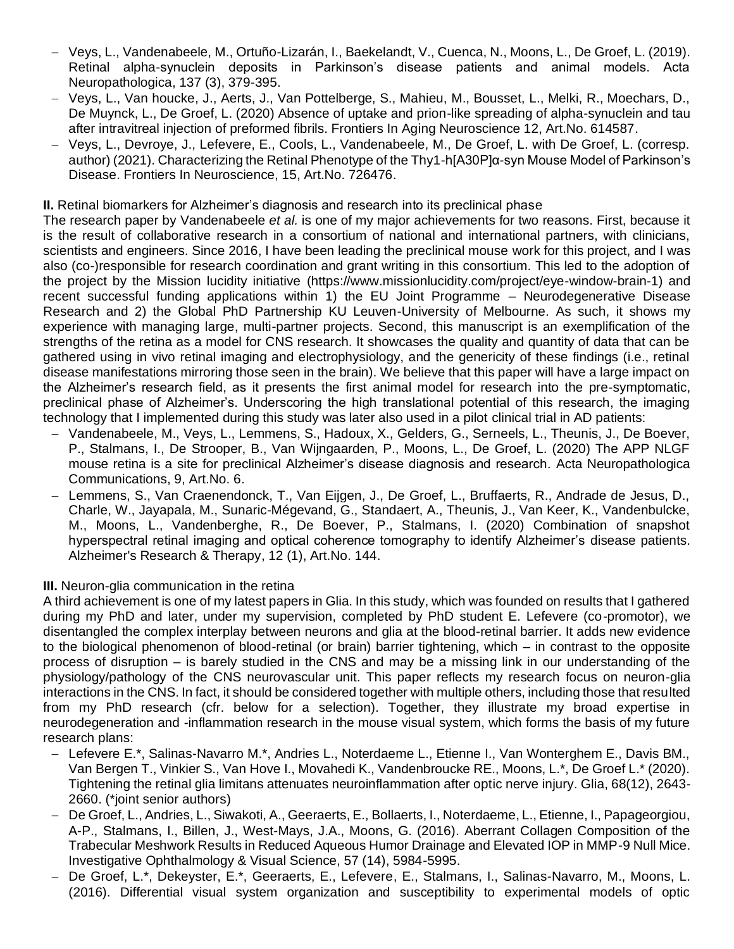- − Veys, L., Vandenabeele, M., Ortuño-Lizarán, I., Baekelandt, V., Cuenca, N., Moons, L., De Groef, L. (2019). Retinal alpha-synuclein deposits in Parkinson's disease patients and animal models. Acta Neuropathologica, 137 (3), 379-395.
- − Veys, L., Van houcke, J., Aerts, J., Van Pottelberge, S., Mahieu, M., Bousset, L., Melki, R., Moechars, D., De Muynck, L., De Groef, L. (2020) Absence of uptake and prion-like spreading of alpha-synuclein and tau after intravitreal injection of preformed fibrils. Frontiers In Aging Neuroscience 12, Art.No. 614587.
- − Veys, L., Devroye, J., Lefevere, E., Cools, L., Vandenabeele, M., De Groef, L. with De Groef, L. (corresp. author) (2021). Characterizing the Retinal Phenotype of the Thy1-h[A30P]α-syn Mouse Model of Parkinson's Disease. Frontiers In Neuroscience, 15, Art.No. 726476.

**II.** Retinal biomarkers for Alzheimer's diagnosis and research into its preclinical phase

The research paper by Vandenabeele *et al.* is one of my major achievements for two reasons. First, because it is the result of collaborative research in a consortium of national and international partners, with clinicians, scientists and engineers. Since 2016, I have been leading the preclinical mouse work for this project, and I was also (co-)responsible for research coordination and grant writing in this consortium. This led to the adoption of the project by the Mission lucidity initiative [\(https://www.missionlucidity.com/project/eye-window-brain-1\)](https://www.missionlucidity.com/project/eye-window-brain-1) and recent successful funding applications within 1) the EU Joint Programme – Neurodegenerative Disease Research and 2) the Global PhD Partnership KU Leuven-University of Melbourne. As such, it shows my experience with managing large, multi-partner projects. Second, this manuscript is an exemplification of the strengths of the retina as a model for CNS research. It showcases the quality and quantity of data that can be gathered using in vivo retinal imaging and electrophysiology, and the genericity of these findings (i.e., retinal disease manifestations mirroring those seen in the brain). We believe that this paper will have a large impact on the Alzheimer's research field, as it presents the first animal model for research into the pre-symptomatic, preclinical phase of Alzheimer's. Underscoring the high translational potential of this research, the imaging technology that I implemented during this study was later also used in a pilot clinical trial in AD patients:

- − Vandenabeele, M., Veys, L., Lemmens, S., Hadoux, X., Gelders, G., Serneels, L., Theunis, J., De Boever, P., Stalmans, I., De Strooper, B., Van Wijngaarden, P., Moons, L., De Groef, L. (2020) The APP NLGF mouse retina is a site for preclinical Alzheimer's disease diagnosis and research. Acta Neuropathologica Communications, 9, Art.No. 6.
- − Lemmens, S., Van Craenendonck, T., Van Eijgen, J., De Groef, L., Bruffaerts, R., Andrade de Jesus, D., Charle, W., Jayapala, M., Sunaric-Mégevand, G., Standaert, A., Theunis, J., Van Keer, K., Vandenbulcke, M., Moons, L., Vandenberghe, R., De Boever, P., Stalmans, I. (2020) Combination of snapshot hyperspectral retinal imaging and optical coherence tomography to identify Alzheimer's disease patients. Alzheimer's Research & Therapy, 12 (1), Art.No. 144.

**III.** Neuron-glia communication in the retina

A third achievement is one of my latest papers in Glia. In this study, which was founded on results that I gathered during my PhD and later, under my supervision, completed by PhD student E. Lefevere (co-promotor), we disentangled the complex interplay between neurons and glia at the blood-retinal barrier. It adds new evidence to the biological phenomenon of blood-retinal (or brain) barrier tightening, which – in contrast to the opposite process of disruption – is barely studied in the CNS and may be a missing link in our understanding of the physiology/pathology of the CNS neurovascular unit. This paper reflects my research focus on neuron-glia interactions in the CNS. In fact, it should be considered together with multiple others, including those that resulted from my PhD research (cfr. below for a selection). Together, they illustrate my broad expertise in neurodegeneration and -inflammation research in the mouse visual system, which forms the basis of my future research plans:

- − Lefevere E.\*, Salinas-Navarro M.\*, Andries L., Noterdaeme L., Etienne I., Van Wonterghem E., Davis BM., Van Bergen T., Vinkier S., Van Hove I., Movahedi K., Vandenbroucke RE., Moons, L.\*, De Groef L.\* (2020). Tightening the retinal glia limitans attenuates neuroinflammation after optic nerve injury. Glia, 68(12), 2643- 2660. (\*joint senior authors)
- − De Groef, L., Andries, L., Siwakoti, A., Geeraerts, E., Bollaerts, I., Noterdaeme, L., Etienne, I., Papageorgiou, A-P., Stalmans, I., Billen, J., West-Mays, J.A., Moons, G. (2016). Aberrant Collagen Composition of the Trabecular Meshwork Results in Reduced Aqueous Humor Drainage and Elevated IOP in MMP-9 Null Mice. Investigative Ophthalmology & Visual Science, 57 (14), 5984-5995.
- − De Groef, L.\*, Dekeyster, E.\*, Geeraerts, E., Lefevere, E., Stalmans, I., Salinas-Navarro, M., Moons, L. (2016). Differential visual system organization and susceptibility to experimental models of optic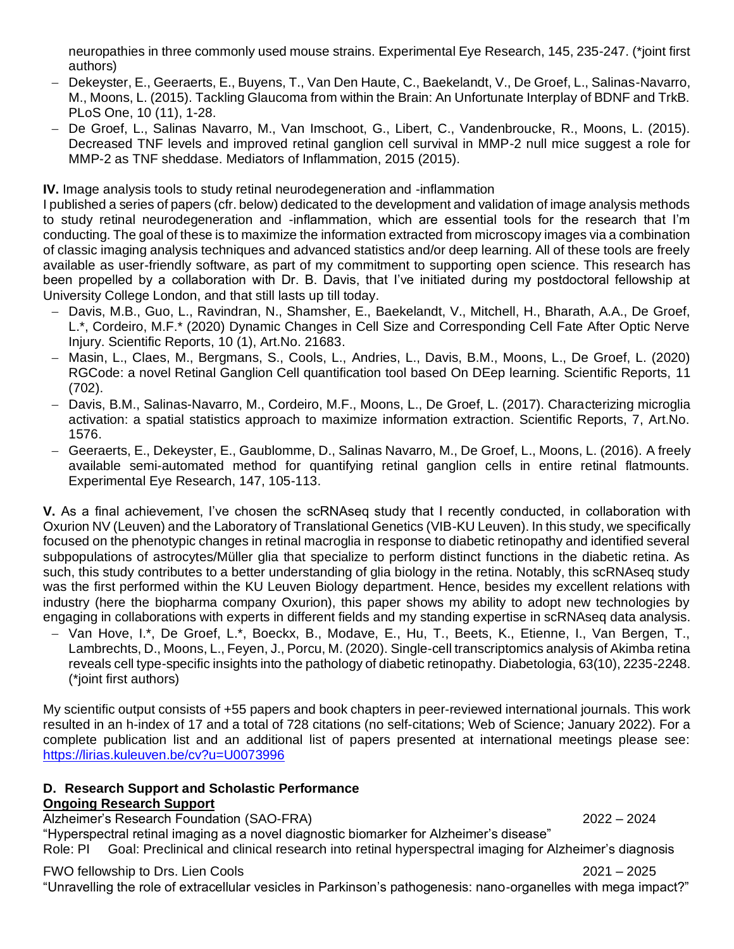neuropathies in three commonly used mouse strains. Experimental Eye Research, 145, 235-247. (\*joint first authors)

- − Dekeyster, E., Geeraerts, E., Buyens, T., Van Den Haute, C., Baekelandt, V., De Groef, L., Salinas-Navarro, M., Moons, L. (2015). Tackling Glaucoma from within the Brain: An Unfortunate Interplay of BDNF and TrkB. PLoS One, 10 (11), 1-28.
- − De Groef, L., Salinas Navarro, M., Van Imschoot, G., Libert, C., Vandenbroucke, R., Moons, L. (2015). Decreased TNF levels and improved retinal ganglion cell survival in MMP-2 null mice suggest a role for MMP-2 as TNF sheddase. Mediators of Inflammation, 2015 (2015).

**IV.** Image analysis tools to study retinal neurodegeneration and -inflammation

I published a series of papers (cfr. below) dedicated to the development and validation of image analysis methods to study retinal neurodegeneration and -inflammation, which are essential tools for the research that I'm conducting. The goal of these is to maximize the information extracted from microscopy images via a combination of classic imaging analysis techniques and advanced statistics and/or deep learning. All of these tools are freely available as user-friendly software, as part of my commitment to supporting open science. This research has been propelled by a collaboration with Dr. B. Davis, that I've initiated during my postdoctoral fellowship at University College London, and that still lasts up till today.

- − Davis, M.B., Guo, L., Ravindran, N., Shamsher, E., Baekelandt, V., Mitchell, H., Bharath, A.A., De Groef, L.\*, Cordeiro, M.F.\* (2020) Dynamic Changes in Cell Size and Corresponding Cell Fate After Optic Nerve Injury. Scientific Reports, 10 (1), Art.No. 21683.
- − Masin, L., Claes, M., Bergmans, S., Cools, L., Andries, L., Davis, B.M., Moons, L., De Groef, L. (2020) RGCode: a novel Retinal Ganglion Cell quantification tool based On DEep learning. Scientific Reports, 11 (702).
- − Davis, B.M., Salinas-Navarro, M., Cordeiro, M.F., Moons, L., De Groef, L. (2017). Characterizing microglia activation: a spatial statistics approach to maximize information extraction. Scientific Reports, 7, Art.No. 1576.
- − Geeraerts, E., Dekeyster, E., Gaublomme, D., Salinas Navarro, M., De Groef, L., Moons, L. (2016). A freely available semi-automated method for quantifying retinal ganglion cells in entire retinal flatmounts. Experimental Eye Research, 147, 105-113.

**V.** As a final achievement, I've chosen the scRNAseq study that I recently conducted, in collaboration with Oxurion NV (Leuven) and the Laboratory of Translational Genetics (VIB-KU Leuven). In this study, we specifically focused on the phenotypic changes in retinal macroglia in response to diabetic retinopathy and identified several subpopulations of astrocytes/Müller glia that specialize to perform distinct functions in the diabetic retina. As such, this study contributes to a better understanding of glia biology in the retina. Notably, this scRNAseq study was the first performed within the KU Leuven Biology department. Hence, besides my excellent relations with industry (here the biopharma company Oxurion), this paper shows my ability to adopt new technologies by engaging in collaborations with experts in different fields and my standing expertise in scRNAseq data analysis.

− Van Hove, I.\*, De Groef, L.\*, Boeckx, B., Modave, E., Hu, T., Beets, K., Etienne, I., Van Bergen, T., Lambrechts, D., Moons, L., Feyen, J., Porcu, M. (2020). Single-cell transcriptomics analysis of Akimba retina reveals cell type-specific insights into the pathology of diabetic retinopathy. Diabetologia, 63(10), 2235-2248. (\*joint first authors)

My scientific output consists of +55 papers and book chapters in peer-reviewed international journals. This work resulted in an h-index of 17 and a total of 728 citations (no self-citations; Web of Science; January 2022). For a complete publication list and an additional list of papers presented at international meetings please see: <https://lirias.kuleuven.be/cv?u=U0073996>

## **D. Research Support and Scholastic Performance Ongoing Research Support**

Alzheimer's Research Foundation (SAO-FRA) 2022 – 2024

"Hyperspectral retinal imaging as a novel diagnostic biomarker for Alzheimer's disease" Role: PI Goal: Preclinical and clinical research into retinal hyperspectral imaging for Alzheimer's diagnosis

# FWO fellowship to Drs. Lien Cools 2021 – 2025

"Unravelling the role of extracellular vesicles in Parkinson's pathogenesis: nano-organelles with mega impact?"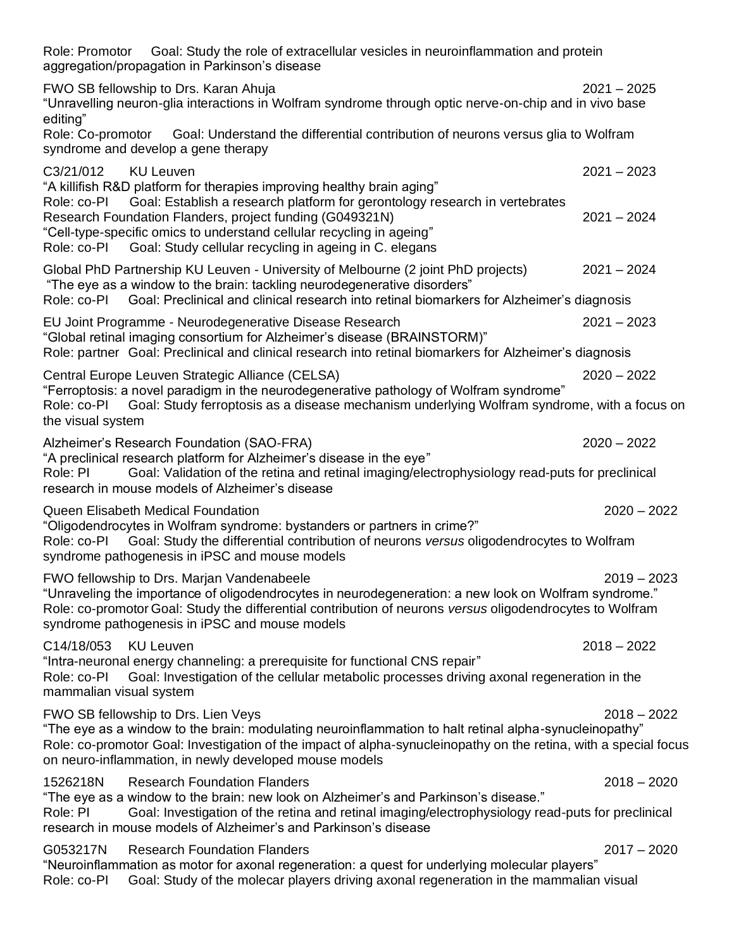| Role: Promotor Goal: Study the role of extracellular vesicles in neuroinflammation and protein<br>aggregation/propagation in Parkinson's disease                                                                                                                                                                            |               |
|-----------------------------------------------------------------------------------------------------------------------------------------------------------------------------------------------------------------------------------------------------------------------------------------------------------------------------|---------------|
| FWO SB fellowship to Drs. Karan Ahuja<br>"Unravelling neuron-glia interactions in Wolfram syndrome through optic nerve-on-chip and in vivo base<br>editing"                                                                                                                                                                 | $2021 - 2025$ |
| Role: Co-promotor<br>Goal: Understand the differential contribution of neurons versus glia to Wolfram<br>syndrome and develop a gene therapy                                                                                                                                                                                |               |
| C3/21/012<br><b>KU Leuven</b><br>"A killifish R&D platform for therapies improving healthy brain aging"<br>Role: co-PI Goal: Establish a research platform for gerontology research in vertebrates                                                                                                                          | $2021 - 2023$ |
| Research Foundation Flanders, project funding (G049321N)<br>"Cell-type-specific omics to understand cellular recycling in ageing"<br>Role: co-PI Goal: Study cellular recycling in ageing in C. elegans                                                                                                                     | $2021 - 2024$ |
| Global PhD Partnership KU Leuven - University of Melbourne (2 joint PhD projects)<br>"The eye as a window to the brain: tackling neurodegenerative disorders"<br>Goal: Preclinical and clinical research into retinal biomarkers for Alzheimer's diagnosis<br>Role: co-Pl                                                   | $2021 - 2024$ |
| EU Joint Programme - Neurodegenerative Disease Research<br>"Global retinal imaging consortium for Alzheimer's disease (BRAINSTORM)"<br>Role: partner Goal: Preclinical and clinical research into retinal biomarkers for Alzheimer's diagnosis                                                                              | $2021 - 2023$ |
| Central Europe Leuven Strategic Alliance (CELSA)<br>"Ferroptosis: a novel paradigm in the neurodegenerative pathology of Wolfram syndrome"<br>Goal: Study ferroptosis as a disease mechanism underlying Wolfram syndrome, with a focus on<br>Role: co-PI<br>the visual system                                               | $2020 - 2022$ |
| Alzheimer's Research Foundation (SAO-FRA)<br>"A preclinical research platform for Alzheimer's disease in the eye"<br>Goal: Validation of the retina and retinal imaging/electrophysiology read-puts for preclinical<br>Role: PI<br>research in mouse models of Alzheimer's disease                                          | $2020 - 2022$ |
| Queen Elisabeth Medical Foundation<br>"Oligodendrocytes in Wolfram syndrome: bystanders or partners in crime?"<br>Role: co-PI Goal: Study the differential contribution of neurons versus oligodendrocytes to Wolfram<br>syndrome pathogenesis in iPSC and mouse models                                                     | $2020 - 2022$ |
| FWO fellowship to Drs. Marian Vandenabeele<br>"Unraveling the importance of oligodendrocytes in neurodegeneration: a new look on Wolfram syndrome."<br>Role: co-promotor Goal: Study the differential contribution of neurons versus oligodendrocytes to Wolfram<br>syndrome pathogenesis in iPSC and mouse models          | $2019 - 2023$ |
| C14/18/053<br><b>KU Leuven</b><br>"Intra-neuronal energy channeling: a prerequisite for functional CNS repair"<br>Goal: Investigation of the cellular metabolic processes driving axonal regeneration in the<br>Role: co-PI<br>mammalian visual system                                                                      | $2018 - 2022$ |
| FWO SB fellowship to Drs. Lien Veys<br>"The eye as a window to the brain: modulating neuroinflammation to halt retinal alpha-synucleinopathy"<br>Role: co-promotor Goal: Investigation of the impact of alpha-synucleinopathy on the retina, with a special focus<br>on neuro-inflammation, in newly developed mouse models | $2018 - 2022$ |
| <b>Research Foundation Flanders</b><br>1526218N<br>"The eye as a window to the brain: new look on Alzheimer's and Parkinson's disease."<br>Goal: Investigation of the retina and retinal imaging/electrophysiology read-puts for preclinical<br>Role: PI<br>research in mouse models of Alzheimer's and Parkinson's disease | $2018 - 2020$ |
| G053217N<br><b>Research Foundation Flanders</b><br>"Neuroinflammation as motor for axonal regeneration: a quest for underlying molecular players"<br>Goal: Study of the molecar players driving axonal regeneration in the mammalian visual<br>Role: co-PI                                                                  | $2017 - 2020$ |